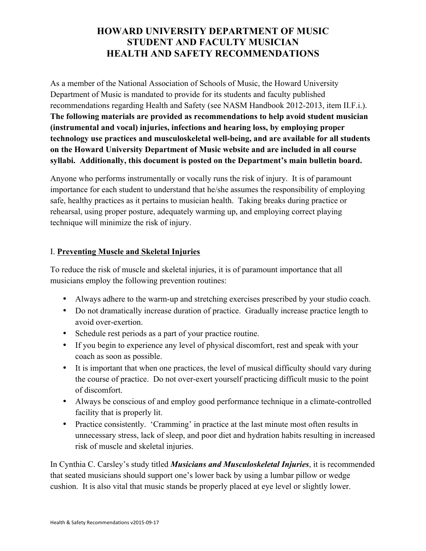# **HOWARD UNIVERSITY DEPARTMENT OF MUSIC STUDENT AND FACULTY MUSICIAN HEALTH AND SAFETY RECOMMENDATIONS**

As a member of the National Association of Schools of Music, the Howard University Department of Music is mandated to provide for its students and faculty published recommendations regarding Health and Safety (see NASM Handbook 2012-2013, item II.F.i.). **The following materials are provided as recommendations to help avoid student musician (instrumental and vocal) injuries, infections and hearing loss, by employing proper technology use practices and musculoskeletal well-being, and are available for all students on the Howard University Department of Music website and are included in all course syllabi. Additionally, this document is posted on the Department's main bulletin board.**

Anyone who performs instrumentally or vocally runs the risk of injury. It is of paramount importance for each student to understand that he/she assumes the responsibility of employing safe, healthy practices as it pertains to musician health. Taking breaks during practice or rehearsal, using proper posture, adequately warming up, and employing correct playing technique will minimize the risk of injury.

## I. **Preventing Muscle and Skeletal Injuries**

To reduce the risk of muscle and skeletal injuries, it is of paramount importance that all musicians employ the following prevention routines:

- Always adhere to the warm-up and stretching exercises prescribed by your studio coach.
- Do not dramatically increase duration of practice. Gradually increase practice length to avoid over-exertion.
- Schedule rest periods as a part of your practice routine.
- If you begin to experience any level of physical discomfort, rest and speak with your coach as soon as possible.
- It is important that when one practices, the level of musical difficulty should vary during the course of practice. Do not over-exert yourself practicing difficult music to the point of discomfort.
- Always be conscious of and employ good performance technique in a climate-controlled facility that is properly lit.
- Practice consistently. 'Cramming' in practice at the last minute most often results in unnecessary stress, lack of sleep, and poor diet and hydration habits resulting in increased risk of muscle and skeletal injuries.

In Cynthia C. Carsley's study titled *Musicians and Musculoskeletal Injuries*, it is recommended that seated musicians should support one's lower back by using a lumbar pillow or wedge cushion. It is also vital that music stands be properly placed at eye level or slightly lower.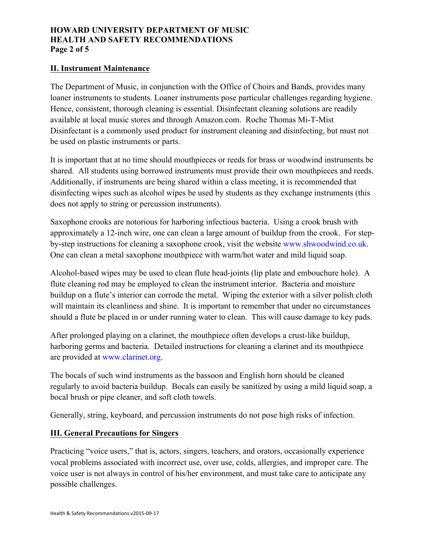#### **HOWARD UNIVERSITY DEPARTMENT OF MUSIC HEALTH AND SAFETY RECOMMENDATIONS Page 2 of 5**

#### **II. Instrument Maintenance**

The Department of Music, in conjunction with the Office of Choirs and Bands, provides many loaner instruments to students. Loaner instruments pose particular challenges regarding hygiene. Hence, consistent, thorough cleaning is essential. Disinfectant cleaning solutions are readily available at local music stores and through Amazon.com. Roche Thomas Mi-T-Mist Disinfectant is a commonly used product for instrument cleaning and disinfecting, but must not be used on plastic instruments or parts.

It is important that at no time should mouthpieces or reeds for brass or woodwind instruments be shared. All students using borrowed instruments must provide their own mouthpieces and reeds. Additionally, if instruments are being shared within a class meeting, it is recommended that disinfecting wipes such as alcohol wipes be used by students as they exchange instruments (this does not apply to string or percussion instruments).

Saxophone crooks are notorious for harboring infectious bacteria. Using a crook brush with approximately a 12-inch wire, one can clean a large amount of buildup from the crook. For stepby-step instructions for cleaning a saxophone crook, visit the website www.shwoodwind.co.uk. One can clean a metal saxophone mouthpiece with warm/hot water and mild liquid soap.

Alcohol-based wipes may be used to clean flute head-joints (lip plate and embouchure hole). A flute cleaning rod may be employed to clean the instrument interior. Bacteria and moisture buildup on a flute's interior can corrode the metal. Wiping the exterior with a silver polish cloth will maintain its cleanliness and shine. It is important to remember that under no circumstances should a flute be placed in or under running water to clean. This will cause damage to key pads.

After prolonged playing on a clarinet, the mouthpiece often develops a crust-like buildup, harboring germs and bacteria. Detailed instructions for cleaning a clarinet and its mouthpiece are provided at www.clarinet.org.

The bocals of such wind instruments as the bassoon and English horn should be cleaned regularly to avoid bacteria buildup. Bocals can easily be sanitized by using a mild liquid soap, a bocal brush or pipe cleaner, and soft cloth towels.

Generally, string, keyboard, and percussion instruments do not pose high risks of infection.

#### **III. General Precautions for Singers**

Practicing "voice users," that is, actors, singers, teachers, and orators, occasionally experience vocal problems associated with incorrect use, over use, colds, allergies, and improper care. The voice user is not always in control of his/her environment, and must take care to anticipate any possible challenges.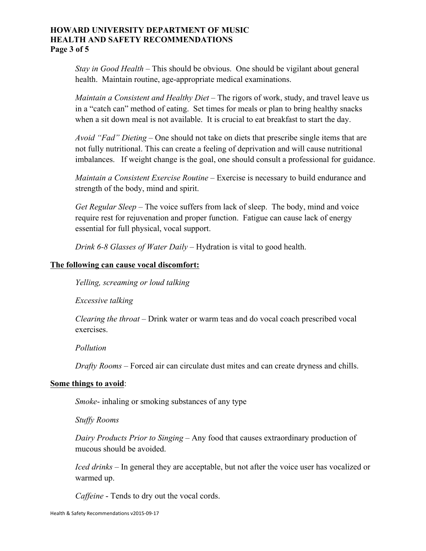#### **HOWARD UNIVERSITY DEPARTMENT OF MUSIC HEALTH AND SAFETY RECOMMENDATIONS Page 3 of 5**

*Stay in Good Health* – This should be obvious. One should be vigilant about general health. Maintain routine, age-appropriate medical examinations.

*Maintain a Consistent and Healthy Diet* – The rigors of work, study, and travel leave us in a "catch can" method of eating. Set times for meals or plan to bring healthy snacks when a sit down meal is not available. It is crucial to eat breakfast to start the day.

*Avoid "Fad" Dieting* – One should not take on diets that prescribe single items that are not fully nutritional. This can create a feeling of deprivation and will cause nutritional imbalances. If weight change is the goal, one should consult a professional for guidance.

*Maintain a Consistent Exercise Routine* – Exercise is necessary to build endurance and strength of the body, mind and spirit.

*Get Regular Sleep* – The voice suffers from lack of sleep. The body, mind and voice require rest for rejuvenation and proper function. Fatigue can cause lack of energy essential for full physical, vocal support.

*Drink 6-8 Glasses of Water Daily* – Hydration is vital to good health.

#### **The following can cause vocal discomfort:**

*Yelling, screaming or loud talking*

*Excessive talking* 

*Clearing the throat* – Drink water or warm teas and do vocal coach prescribed vocal exercises.

*Pollution* 

*Drafty Rooms* – Forced air can circulate dust mites and can create dryness and chills.

#### **Some things to avoid**:

*Smoke*- inhaling or smoking substances of any type

*Stuffy Rooms*

*Dairy Products Prior to Singing* – Any food that causes extraordinary production of mucous should be avoided.

*Iced drinks* – In general they are acceptable, but not after the voice user has vocalized or warmed up.

*Caffeine* - Tends to dry out the vocal cords.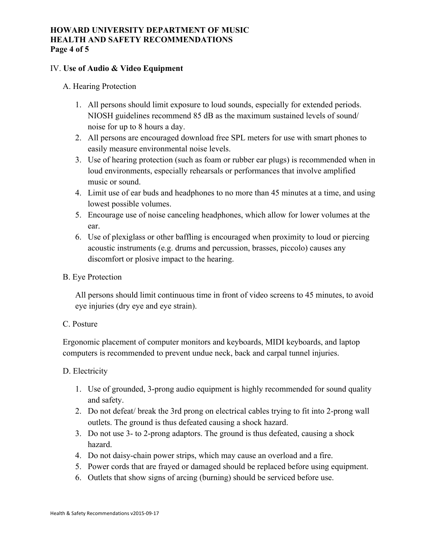#### **HOWARD UNIVERSITY DEPARTMENT OF MUSIC HEALTH AND SAFETY RECOMMENDATIONS Page 4 of 5**

#### IV. **Use of Audio & Video Equipment**

#### A. Hearing Protection

- 1. All persons should limit exposure to loud sounds, especially for extended periods. NIOSH guidelines recommend 85 dB as the maximum sustained levels of sound/ noise for up to 8 hours a day.
- 2. All persons are encouraged download free SPL meters for use with smart phones to easily measure environmental noise levels.
- 3. Use of hearing protection (such as foam or rubber ear plugs) is recommended when in loud environments, especially rehearsals or performances that involve amplified music or sound.
- 4. Limit use of ear buds and headphones to no more than 45 minutes at a time, and using lowest possible volumes.
- 5. Encourage use of noise canceling headphones, which allow for lower volumes at the ear.
- 6. Use of plexiglass or other baffling is encouraged when proximity to loud or piercing acoustic instruments (e.g. drums and percussion, brasses, piccolo) causes any discomfort or plosive impact to the hearing.

#### B. Eye Protection

All persons should limit continuous time in front of video screens to 45 minutes, to avoid eye injuries (dry eye and eye strain).

## C. Posture

Ergonomic placement of computer monitors and keyboards, MIDI keyboards, and laptop computers is recommended to prevent undue neck, back and carpal tunnel injuries.

## D. Electricity

- 1. Use of grounded, 3-prong audio equipment is highly recommended for sound quality and safety.
- 2. Do not defeat/ break the 3rd prong on electrical cables trying to fit into 2-prong wall outlets. The ground is thus defeated causing a shock hazard.
- 3. Do not use 3- to 2-prong adaptors. The ground is thus defeated, causing a shock hazard.
- 4. Do not daisy-chain power strips, which may cause an overload and a fire.
- 5. Power cords that are frayed or damaged should be replaced before using equipment.
- 6. Outlets that show signs of arcing (burning) should be serviced before use.